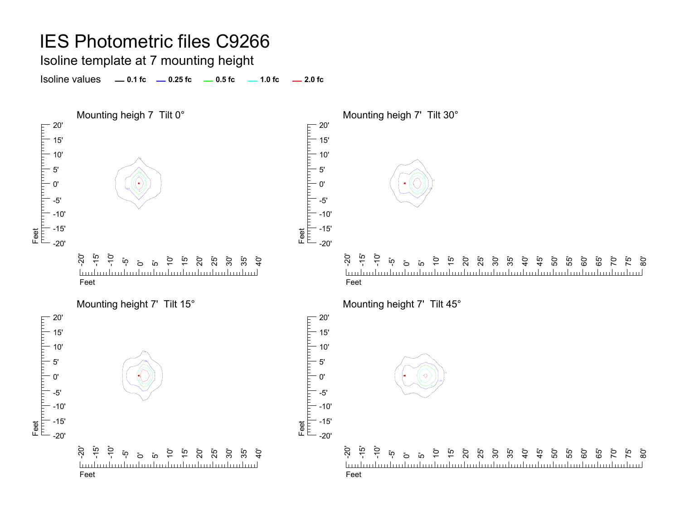#### Isoline template at 7 mounting height

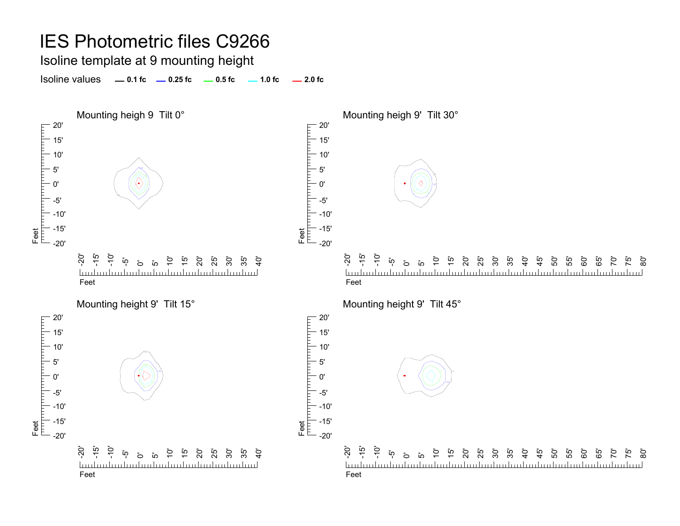#### Isoline template at 9 mounting height

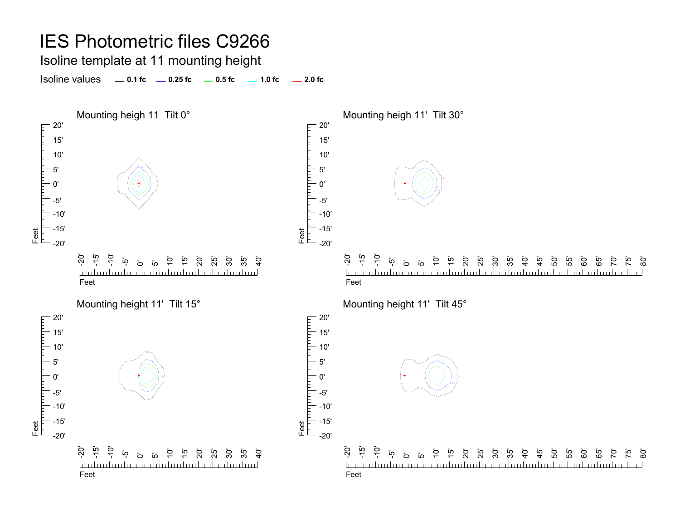Isoline template at 11 mounting height

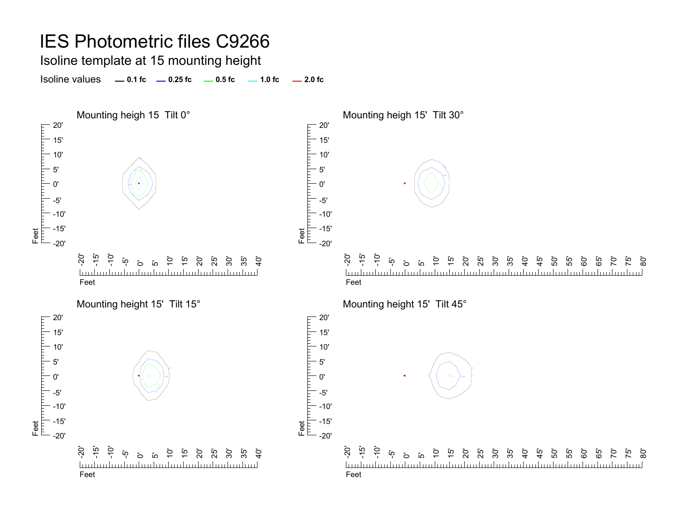Isoline template at 15 mounting height

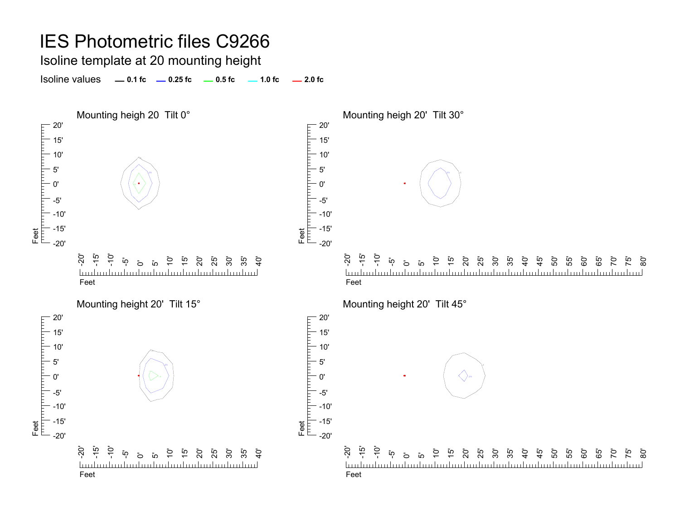Isoline template at 20 mounting height